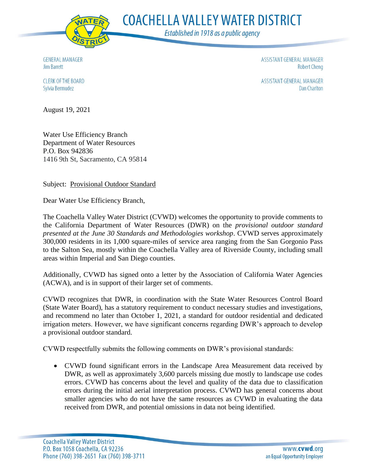

**COACHELLA VALLEY WATER DISTRICT** 

Established in 1918 as a public agency

**GENERAL MANAGER Jim Barrett** 

ASSISTANT GENERAL MANAGER **Robert Cheng** 

ASSISTANT GENERAL MANAGER **Dan Charlton** 

**CLERK OF THE BOARD** Sylvia Bermudez

August 19, 2021

Water Use Efficiency Branch Department of Water Resources P.O. Box 942836 1416 9th St, Sacramento, CA 95814

Subject: Provisional Outdoor Standard

Dear Water Use Efficiency Branch,

The Coachella Valley Water District (CVWD) welcomes the opportunity to provide comments to the California Department of Water Resources (DWR) on the *provisional outdoor standard presented at the June 30 Standards and Methodologies workshop*. CVWD serves approximately 300,000 residents in its 1,000 square-miles of service area ranging from the San Gorgonio Pass to the Salton Sea, mostly within the Coachella Valley area of Riverside County, including small areas within Imperial and San Diego counties.

Additionally, CVWD has signed onto a letter by the Association of California Water Agencies (ACWA), and is in support of their larger set of comments.

CVWD recognizes that DWR, in coordination with the State Water Resources Control Board (State Water Board), has a statutory requirement to conduct necessary studies and investigations, and recommend no later than October 1, 2021, a standard for outdoor residential and dedicated irrigation meters. However, we have significant concerns regarding DWR's approach to develop a provisional outdoor standard.

CVWD respectfully submits the following comments on DWR's provisional standards:

 CVWD found significant errors in the Landscape Area Measurement data received by DWR, as well as approximately 3,600 parcels missing due mostly to landscape use codes errors. CVWD has concerns about the level and quality of the data due to classification errors during the initial aerial interpretation process. CVWD has general concerns about smaller agencies who do not have the same resources as CVWD in evaluating the data received from DWR, and potential omissions in data not being identified.